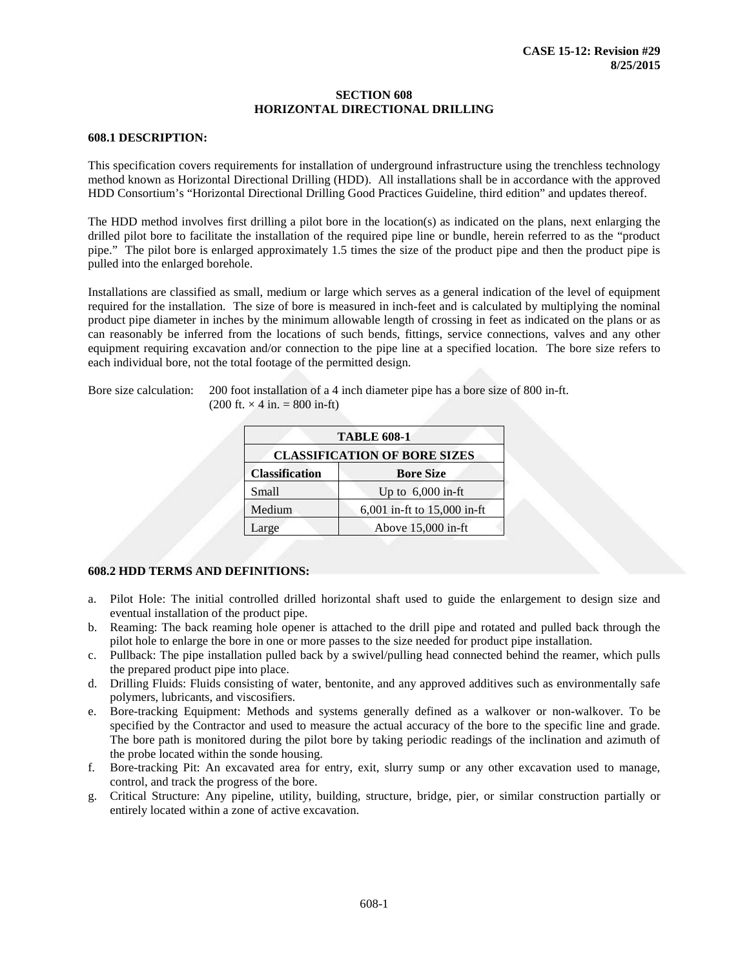#### **SECTION 608 HORIZONTAL DIRECTIONAL DRILLING**

#### **608.1 DESCRIPTION:**

This specification covers requirements for installation of underground infrastructure using the trenchless technology method known as Horizontal Directional Drilling (HDD). All installations shall be in accordance with the approved HDD Consortium's "Horizontal Directional Drilling Good Practices Guideline, third edition" and updates thereof.

The HDD method involves first drilling a pilot bore in the location(s) as indicated on the plans, next enlarging the drilled pilot bore to facilitate the installation of the required pipe line or bundle, herein referred to as the "product pipe." The pilot bore is enlarged approximately 1.5 times the size of the product pipe and then the product pipe is pulled into the enlarged borehole.

Installations are classified as small, medium or large which serves as a general indication of the level of equipment required for the installation. The size of bore is measured in inch-feet and is calculated by multiplying the nominal product pipe diameter in inches by the minimum allowable length of crossing in feet as indicated on the plans or as can reasonably be inferred from the locations of such bends, fittings, service connections, valves and any other equipment requiring excavation and/or connection to the pipe line at a specified location. The bore size refers to each individual bore, not the total footage of the permitted design.

Bore size calculation: 200 foot installation of a 4 inch diameter pipe has a bore size of 800 in-ft.  $(200 \text{ ft.} \times 4 \text{ in.} = 800 \text{ in-fit})$ 

| <b>TABLE 608-1</b>                  |                             |  |  |  |
|-------------------------------------|-----------------------------|--|--|--|
| <b>CLASSIFICATION OF BORE SIZES</b> |                             |  |  |  |
| <b>Classification</b>               | <b>Bore Size</b>            |  |  |  |
| Small                               | Up to $6,000$ in-ft         |  |  |  |
| Medium                              | 6,001 in-ft to 15,000 in-ft |  |  |  |
| Large                               | Above 15,000 in-ft          |  |  |  |

# **608.2 HDD TERMS AND DEFINITIONS:**

- a. Pilot Hole: The initial controlled drilled horizontal shaft used to guide the enlargement to design size and eventual installation of the product pipe.
- b. Reaming: The back reaming hole opener is attached to the drill pipe and rotated and pulled back through the pilot hole to enlarge the bore in one or more passes to the size needed for product pipe installation.
- c. Pullback: The pipe installation pulled back by a swivel/pulling head connected behind the reamer, which pulls the prepared product pipe into place.
- d. Drilling Fluids: Fluids consisting of water, bentonite, and any approved additives such as environmentally safe polymers, lubricants, and viscosifiers.
- e. Bore-tracking Equipment: Methods and systems generally defined as a walkover or non-walkover. To be specified by the Contractor and used to measure the actual accuracy of the bore to the specific line and grade. The bore path is monitored during the pilot bore by taking periodic readings of the inclination and azimuth of the probe located within the sonde housing.
- f. Bore-tracking Pit: An excavated area for entry, exit, slurry sump or any other excavation used to manage, control, and track the progress of the bore.
- g. Critical Structure: Any pipeline, utility, building, structure, bridge, pier, or similar construction partially or entirely located within a zone of active excavation.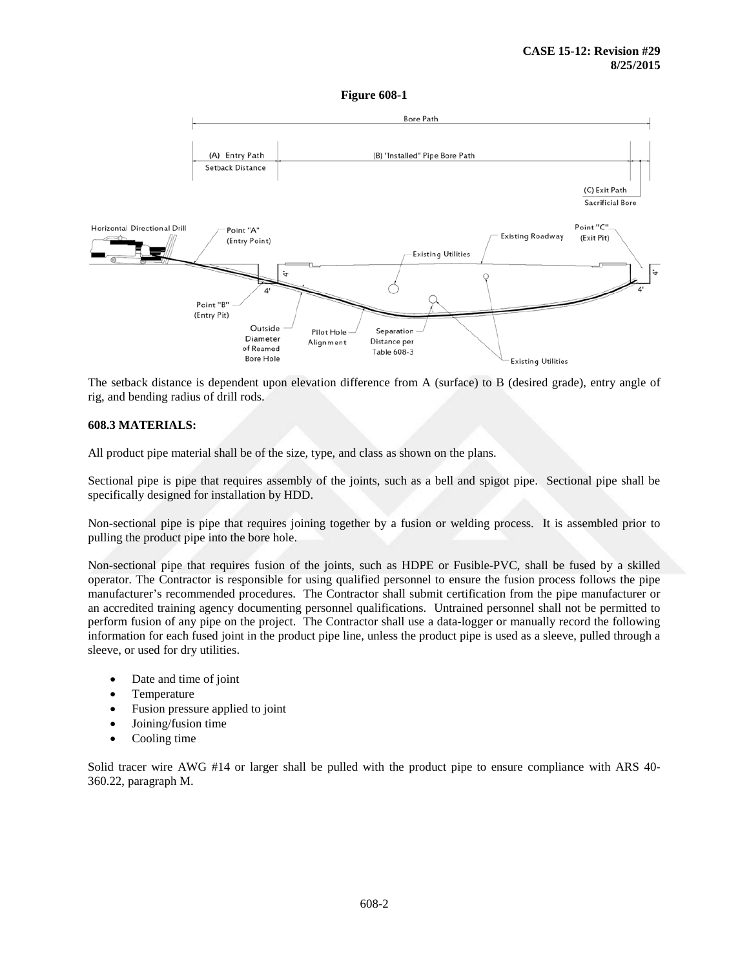#### **Figure 608-1**



The setback distance is dependent upon elevation difference from A (surface) to B (desired grade), entry angle of rig, and bending radius of drill rods.

## **608.3 MATERIALS:**

All product pipe material shall be of the size, type, and class as shown on the plans.

Sectional pipe is pipe that requires assembly of the joints, such as a bell and spigot pipe. Sectional pipe shall be specifically designed for installation by HDD.

Non-sectional pipe is pipe that requires joining together by a fusion or welding process. It is assembled prior to pulling the product pipe into the bore hole.

Non-sectional pipe that requires fusion of the joints, such as HDPE or Fusible-PVC, shall be fused by a skilled operator. The Contractor is responsible for using qualified personnel to ensure the fusion process follows the pipe manufacturer's recommended procedures. The Contractor shall submit certification from the pipe manufacturer or an accredited training agency documenting personnel qualifications. Untrained personnel shall not be permitted to perform fusion of any pipe on the project. The Contractor shall use a data-logger or manually record the following information for each fused joint in the product pipe line, unless the product pipe is used as a sleeve, pulled through a sleeve, or used for dry utilities.

- Date and time of joint
- **Temperature**
- Fusion pressure applied to joint
- Joining/fusion time
- Cooling time

Solid tracer wire AWG #14 or larger shall be pulled with the product pipe to ensure compliance with ARS 40- 360.22, paragraph M.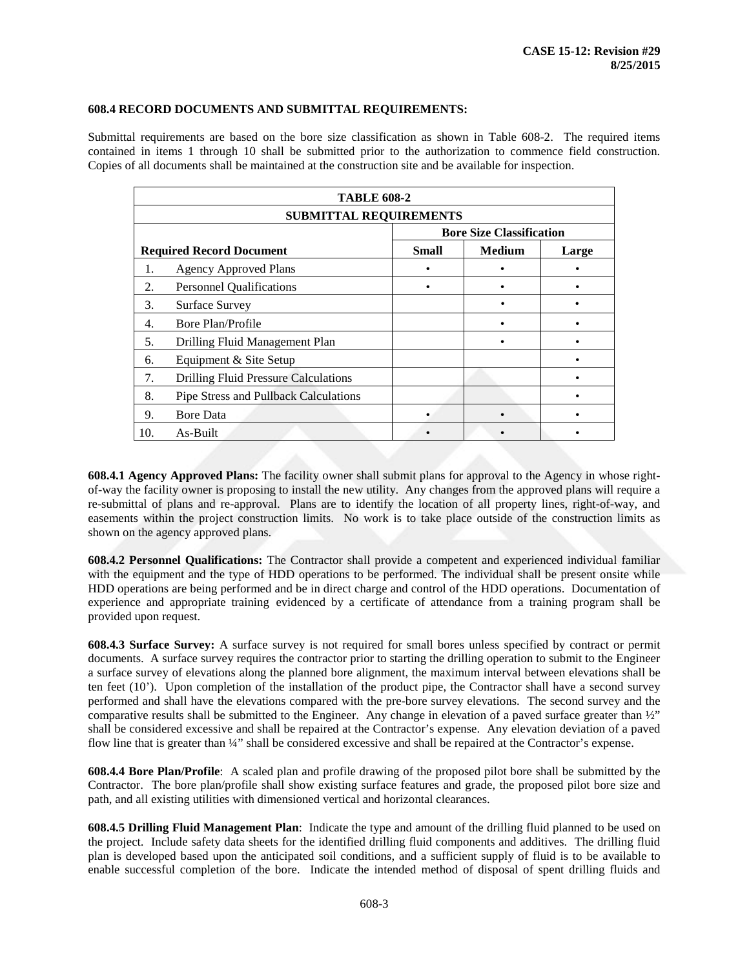## **608.4 RECORD DOCUMENTS AND SUBMITTAL REQUIREMENTS:**

Submittal requirements are based on the bore size classification as shown in Table 608-2. The required items contained in items 1 through 10 shall be submitted prior to the authorization to commence field construction. Copies of all documents shall be maintained at the construction site and be available for inspection.

|                               | <b>TABLE 608-2</b>                          |                                 |               |       |  |  |
|-------------------------------|---------------------------------------------|---------------------------------|---------------|-------|--|--|
| <b>SUBMITTAL REQUIREMENTS</b> |                                             |                                 |               |       |  |  |
|                               |                                             | <b>Bore Size Classification</b> |               |       |  |  |
|                               | <b>Required Record Document</b>             | <b>Small</b>                    | <b>Medium</b> | Large |  |  |
| 1.                            | <b>Agency Approved Plans</b>                |                                 |               |       |  |  |
| 2.                            | <b>Personnel Qualifications</b>             |                                 |               |       |  |  |
| 3.                            | Surface Survey                              |                                 |               |       |  |  |
| 4.                            | Bore Plan/Profile                           |                                 |               |       |  |  |
| 5.                            | Drilling Fluid Management Plan              |                                 |               |       |  |  |
| 6.                            | Equipment & Site Setup                      |                                 |               |       |  |  |
| 7.                            | <b>Drilling Fluid Pressure Calculations</b> |                                 |               |       |  |  |
| 8.                            | Pipe Stress and Pullback Calculations       |                                 |               |       |  |  |
| 9.                            | <b>Bore Data</b>                            |                                 |               |       |  |  |
| 10.                           | As-Built                                    |                                 |               |       |  |  |

**608.4.1 Agency Approved Plans:** The facility owner shall submit plans for approval to the Agency in whose rightof-way the facility owner is proposing to install the new utility. Any changes from the approved plans will require a re-submittal of plans and re-approval. Plans are to identify the location of all property lines, right-of-way, and easements within the project construction limits. No work is to take place outside of the construction limits as shown on the agency approved plans.

**608.4.2 Personnel Qualifications:** The Contractor shall provide a competent and experienced individual familiar with the equipment and the type of HDD operations to be performed. The individual shall be present onsite while HDD operations are being performed and be in direct charge and control of the HDD operations. Documentation of experience and appropriate training evidenced by a certificate of attendance from a training program shall be provided upon request.

**608.4.3 Surface Survey:** A surface survey is not required for small bores unless specified by contract or permit documents. A surface survey requires the contractor prior to starting the drilling operation to submit to the Engineer a surface survey of elevations along the planned bore alignment, the maximum interval between elevations shall be ten feet (10'). Upon completion of the installation of the product pipe, the Contractor shall have a second survey performed and shall have the elevations compared with the pre-bore survey elevations. The second survey and the comparative results shall be submitted to the Engineer. Any change in elevation of a paved surface greater than  $\frac{1}{2}$ " shall be considered excessive and shall be repaired at the Contractor's expense. Any elevation deviation of a paved flow line that is greater than ¼" shall be considered excessive and shall be repaired at the Contractor's expense.

**608.4.4 Bore Plan/Profile**: A scaled plan and profile drawing of the proposed pilot bore shall be submitted by the Contractor. The bore plan/profile shall show existing surface features and grade, the proposed pilot bore size and path, and all existing utilities with dimensioned vertical and horizontal clearances.

**608.4.5 Drilling Fluid Management Plan**: Indicate the type and amount of the drilling fluid planned to be used on the project. Include safety data sheets for the identified drilling fluid components and additives. The drilling fluid plan is developed based upon the anticipated soil conditions, and a sufficient supply of fluid is to be available to enable successful completion of the bore. Indicate the intended method of disposal of spent drilling fluids and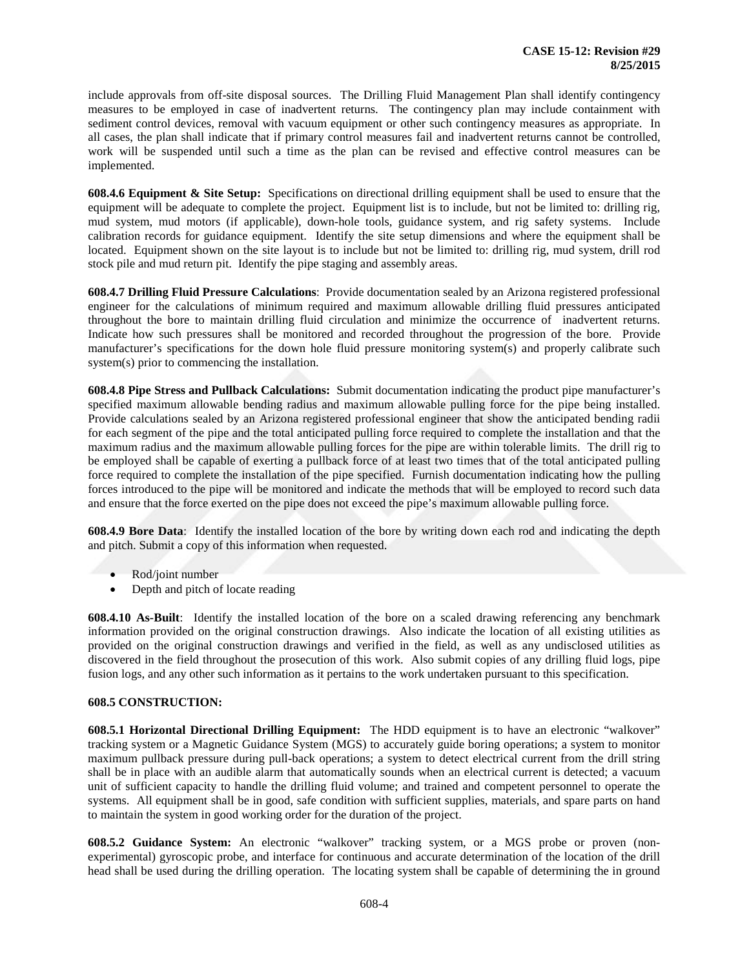include approvals from off-site disposal sources. The Drilling Fluid Management Plan shall identify contingency measures to be employed in case of inadvertent returns. The contingency plan may include containment with sediment control devices, removal with vacuum equipment or other such contingency measures as appropriate. In all cases, the plan shall indicate that if primary control measures fail and inadvertent returns cannot be controlled, work will be suspended until such a time as the plan can be revised and effective control measures can be implemented.

**608.4.6 Equipment & Site Setup:** Specifications on directional drilling equipment shall be used to ensure that the equipment will be adequate to complete the project. Equipment list is to include, but not be limited to: drilling rig, mud system, mud motors (if applicable), down-hole tools, guidance system, and rig safety systems. Include calibration records for guidance equipment. Identify the site setup dimensions and where the equipment shall be located. Equipment shown on the site layout is to include but not be limited to: drilling rig, mud system, drill rod stock pile and mud return pit. Identify the pipe staging and assembly areas.

**608.4.7 Drilling Fluid Pressure Calculations**: Provide documentation sealed by an Arizona registered professional engineer for the calculations of minimum required and maximum allowable drilling fluid pressures anticipated throughout the bore to maintain drilling fluid circulation and minimize the occurrence of inadvertent returns. Indicate how such pressures shall be monitored and recorded throughout the progression of the bore. Provide manufacturer's specifications for the down hole fluid pressure monitoring system(s) and properly calibrate such system(s) prior to commencing the installation.

**608.4.8 Pipe Stress and Pullback Calculations:** Submit documentation indicating the product pipe manufacturer's specified maximum allowable bending radius and maximum allowable pulling force for the pipe being installed. Provide calculations sealed by an Arizona registered professional engineer that show the anticipated bending radii for each segment of the pipe and the total anticipated pulling force required to complete the installation and that the maximum radius and the maximum allowable pulling forces for the pipe are within tolerable limits. The drill rig to be employed shall be capable of exerting a pullback force of at least two times that of the total anticipated pulling force required to complete the installation of the pipe specified. Furnish documentation indicating how the pulling forces introduced to the pipe will be monitored and indicate the methods that will be employed to record such data and ensure that the force exerted on the pipe does not exceed the pipe's maximum allowable pulling force.

**608.4.9 Bore Data**: Identify the installed location of the bore by writing down each rod and indicating the depth and pitch. Submit a copy of this information when requested.

- Rod/joint number
- Depth and pitch of locate reading

**608.4.10 As-Built**: Identify the installed location of the bore on a scaled drawing referencing any benchmark information provided on the original construction drawings. Also indicate the location of all existing utilities as provided on the original construction drawings and verified in the field, as well as any undisclosed utilities as discovered in the field throughout the prosecution of this work. Also submit copies of any drilling fluid logs, pipe fusion logs, and any other such information as it pertains to the work undertaken pursuant to this specification.

# **608.5 CONSTRUCTION:**

**608.5.1 Horizontal Directional Drilling Equipment:** The HDD equipment is to have an electronic "walkover" tracking system or a Magnetic Guidance System (MGS) to accurately guide boring operations; a system to monitor maximum pullback pressure during pull-back operations; a system to detect electrical current from the drill string shall be in place with an audible alarm that automatically sounds when an electrical current is detected; a vacuum unit of sufficient capacity to handle the drilling fluid volume; and trained and competent personnel to operate the systems. All equipment shall be in good, safe condition with sufficient supplies, materials, and spare parts on hand to maintain the system in good working order for the duration of the project.

**608.5.2 Guidance System:** An electronic "walkover" tracking system, or a MGS probe or proven (nonexperimental) gyroscopic probe, and interface for continuous and accurate determination of the location of the drill head shall be used during the drilling operation. The locating system shall be capable of determining the in ground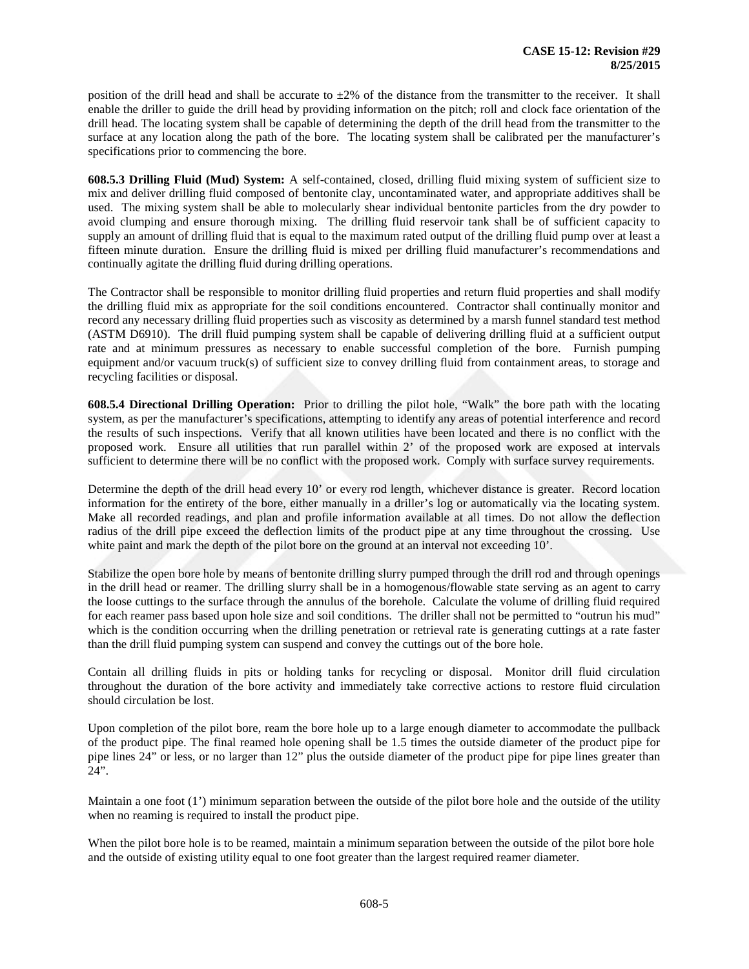position of the drill head and shall be accurate to  $\pm 2\%$  of the distance from the transmitter to the receiver. It shall enable the driller to guide the drill head by providing information on the pitch; roll and clock face orientation of the drill head. The locating system shall be capable of determining the depth of the drill head from the transmitter to the surface at any location along the path of the bore. The locating system shall be calibrated per the manufacturer's specifications prior to commencing the bore.

**608.5.3 Drilling Fluid (Mud) System:** A self-contained, closed, drilling fluid mixing system of sufficient size to mix and deliver drilling fluid composed of bentonite clay, uncontaminated water, and appropriate additives shall be used. The mixing system shall be able to molecularly shear individual bentonite particles from the dry powder to avoid clumping and ensure thorough mixing. The drilling fluid reservoir tank shall be of sufficient capacity to supply an amount of drilling fluid that is equal to the maximum rated output of the drilling fluid pump over at least a fifteen minute duration. Ensure the drilling fluid is mixed per drilling fluid manufacturer's recommendations and continually agitate the drilling fluid during drilling operations.

The Contractor shall be responsible to monitor drilling fluid properties and return fluid properties and shall modify the drilling fluid mix as appropriate for the soil conditions encountered. Contractor shall continually monitor and record any necessary drilling fluid properties such as viscosity as determined by a marsh funnel standard test method (ASTM D6910). The drill fluid pumping system shall be capable of delivering drilling fluid at a sufficient output rate and at minimum pressures as necessary to enable successful completion of the bore. Furnish pumping equipment and/or vacuum truck(s) of sufficient size to convey drilling fluid from containment areas, to storage and recycling facilities or disposal.

**608.5.4 Directional Drilling Operation:** Prior to drilling the pilot hole, "Walk" the bore path with the locating system, as per the manufacturer's specifications, attempting to identify any areas of potential interference and record the results of such inspections. Verify that all known utilities have been located and there is no conflict with the proposed work. Ensure all utilities that run parallel within 2' of the proposed work are exposed at intervals sufficient to determine there will be no conflict with the proposed work. Comply with surface survey requirements.

Determine the depth of the drill head every 10' or every rod length, whichever distance is greater. Record location information for the entirety of the bore, either manually in a driller's log or automatically via the locating system. Make all recorded readings, and plan and profile information available at all times. Do not allow the deflection radius of the drill pipe exceed the deflection limits of the product pipe at any time throughout the crossing. Use white paint and mark the depth of the pilot bore on the ground at an interval not exceeding 10'.

Stabilize the open bore hole by means of bentonite drilling slurry pumped through the drill rod and through openings in the drill head or reamer. The drilling slurry shall be in a homogenous/flowable state serving as an agent to carry the loose cuttings to the surface through the annulus of the borehole. Calculate the volume of drilling fluid required for each reamer pass based upon hole size and soil conditions. The driller shall not be permitted to "outrun his mud" which is the condition occurring when the drilling penetration or retrieval rate is generating cuttings at a rate faster than the drill fluid pumping system can suspend and convey the cuttings out of the bore hole.

Contain all drilling fluids in pits or holding tanks for recycling or disposal. Monitor drill fluid circulation throughout the duration of the bore activity and immediately take corrective actions to restore fluid circulation should circulation be lost.

Upon completion of the pilot bore, ream the bore hole up to a large enough diameter to accommodate the pullback of the product pipe. The final reamed hole opening shall be 1.5 times the outside diameter of the product pipe for pipe lines 24" or less, or no larger than 12" plus the outside diameter of the product pipe for pipe lines greater than 24".

Maintain a one foot (1') minimum separation between the outside of the pilot bore hole and the outside of the utility when no reaming is required to install the product pipe.

When the pilot bore hole is to be reamed, maintain a minimum separation between the outside of the pilot bore hole and the outside of existing utility equal to one foot greater than the largest required reamer diameter.